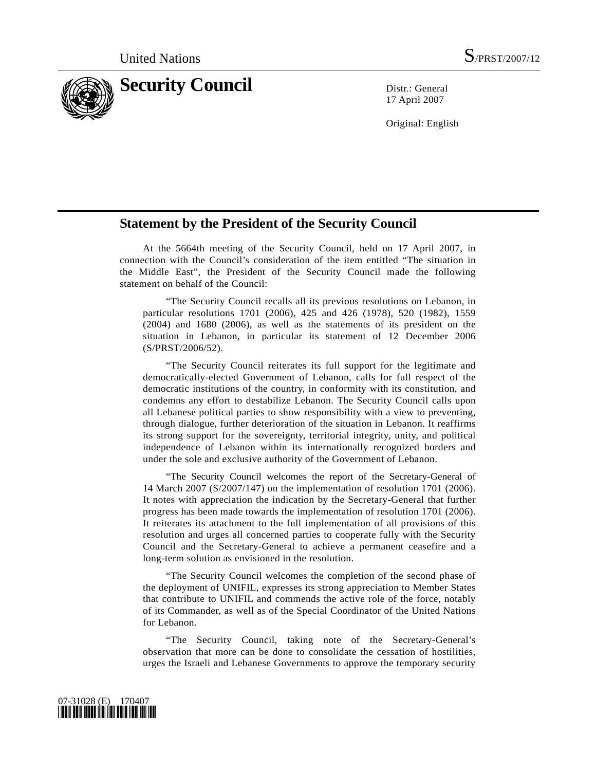

17 April 2007

Original: English

## **Statement by the President of the Security Council**

 At the 5664th meeting of the Security Council, held on 17 April 2007, in connection with the Council's consideration of the item entitled "The situation in the Middle East", the President of the Security Council made the following statement on behalf of the Council:

 "The Security Council recalls all its previous resolutions on Lebanon, in particular resolutions 1701 (2006), 425 and 426 (1978), 520 (1982), 1559 (2004) and 1680 (2006), as well as the statements of its president on the situation in Lebanon, in particular its statement of 12 December 2006 (S/PRST/2006/52).

 "The Security Council reiterates its full support for the legitimate and democratically-elected Government of Lebanon, calls for full respect of the democratic institutions of the country, in conformity with its constitution, and condemns any effort to destabilize Lebanon. The Security Council calls upon all Lebanese political parties to show responsibility with a view to preventing, through dialogue, further deterioration of the situation in Lebanon. It reaffirms its strong support for the sovereignty, territorial integrity, unity, and political independence of Lebanon within its internationally recognized borders and under the sole and exclusive authority of the Government of Lebanon.

 "The Security Council welcomes the report of the Secretary-General of 14 March 2007 (S/2007/147) on the implementation of resolution 1701 (2006). It notes with appreciation the indication by the Secretary-General that further progress has been made towards the implementation of resolution 1701 (2006). It reiterates its attachment to the full implementation of all provisions of this resolution and urges all concerned parties to cooperate fully with the Security Council and the Secretary-General to achieve a permanent ceasefire and a long-term solution as envisioned in the resolution.

 "The Security Council welcomes the completion of the second phase of the deployment of UNIFIL, expresses its strong appreciation to Member States that contribute to UNIFIL and commends the active role of the force, notably of its Commander, as well as of the Special Coordinator of the United Nations for Lebanon.

 "The Security Council, taking note of the Secretary-General's observation that more can be done to consolidate the cessation of hostilities, urges the Israeli and Lebanese Governments to approve the temporary security

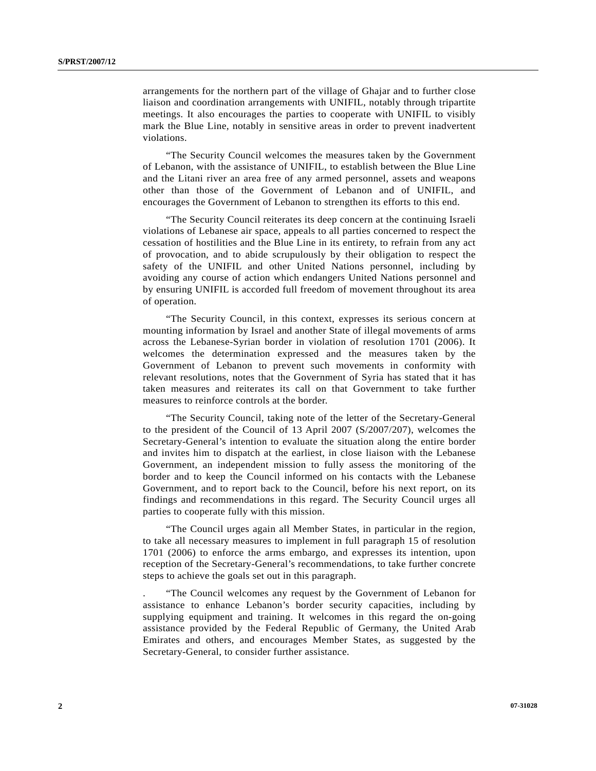arrangements for the northern part of the village of Ghajar and to further close liaison and coordination arrangements with UNIFIL, notably through tripartite meetings. It also encourages the parties to cooperate with UNIFIL to visibly mark the Blue Line, notably in sensitive areas in order to prevent inadvertent violations.

 "The Security Council welcomes the measures taken by the Government of Lebanon, with the assistance of UNIFIL, to establish between the Blue Line and the Litani river an area free of any armed personnel, assets and weapons other than those of the Government of Lebanon and of UNIFIL, and encourages the Government of Lebanon to strengthen its efforts to this end.

 "The Security Council reiterates its deep concern at the continuing Israeli violations of Lebanese air space, appeals to all parties concerned to respect the cessation of hostilities and the Blue Line in its entirety, to refrain from any act of provocation, and to abide scrupulously by their obligation to respect the safety of the UNIFIL and other United Nations personnel, including by avoiding any course of action which endangers United Nations personnel and by ensuring UNIFIL is accorded full freedom of movement throughout its area of operation.

 "The Security Council, in this context, expresses its serious concern at mounting information by Israel and another State of illegal movements of arms across the Lebanese-Syrian border in violation of resolution 1701 (2006). It welcomes the determination expressed and the measures taken by the Government of Lebanon to prevent such movements in conformity with relevant resolutions, notes that the Government of Syria has stated that it has taken measures and reiterates its call on that Government to take further measures to reinforce controls at the border.

 "The Security Council, taking note of the letter of the Secretary-General to the president of the Council of 13 April 2007 (S/2007/207), welcomes the Secretary-General's intention to evaluate the situation along the entire border and invites him to dispatch at the earliest, in close liaison with the Lebanese Government, an independent mission to fully assess the monitoring of the border and to keep the Council informed on his contacts with the Lebanese Government, and to report back to the Council, before his next report, on its findings and recommendations in this regard. The Security Council urges all parties to cooperate fully with this mission.

 "The Council urges again all Member States, in particular in the region, to take all necessary measures to implement in full paragraph 15 of resolution 1701 (2006) to enforce the arms embargo, and expresses its intention, upon reception of the Secretary-General's recommendations, to take further concrete steps to achieve the goals set out in this paragraph.

 . "The Council welcomes any request by the Government of Lebanon for assistance to enhance Lebanon's border security capacities, including by supplying equipment and training. It welcomes in this regard the on-going assistance provided by the Federal Republic of Germany, the United Arab Emirates and others, and encourages Member States, as suggested by the Secretary-General, to consider further assistance.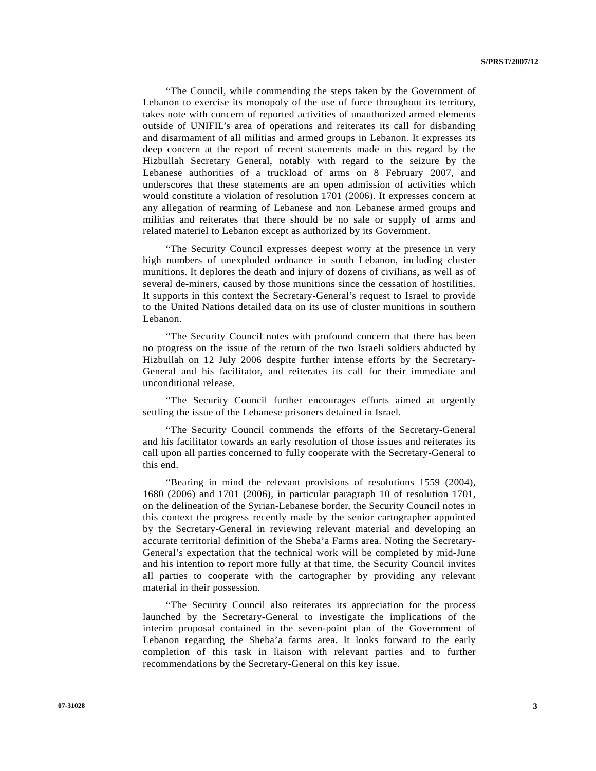"The Council, while commending the steps taken by the Government of Lebanon to exercise its monopoly of the use of force throughout its territory, takes note with concern of reported activities of unauthorized armed elements outside of UNIFIL's area of operations and reiterates its call for disbanding and disarmament of all militias and armed groups in Lebanon. It expresses its deep concern at the report of recent statements made in this regard by the Hizbullah Secretary General, notably with regard to the seizure by the Lebanese authorities of a truckload of arms on 8 February 2007, and underscores that these statements are an open admission of activities which would constitute a violation of resolution 1701 (2006). It expresses concern at any allegation of rearming of Lebanese and non Lebanese armed groups and militias and reiterates that there should be no sale or supply of arms and related materiel to Lebanon except as authorized by its Government.

 "The Security Council expresses deepest worry at the presence in very high numbers of unexploded ordnance in south Lebanon, including cluster munitions. It deplores the death and injury of dozens of civilians, as well as of several de-miners, caused by those munitions since the cessation of hostilities. It supports in this context the Secretary-General's request to Israel to provide to the United Nations detailed data on its use of cluster munitions in southern Lebanon.

 "The Security Council notes with profound concern that there has been no progress on the issue of the return of the two Israeli soldiers abducted by Hizbullah on 12 July 2006 despite further intense efforts by the Secretary-General and his facilitator, and reiterates its call for their immediate and unconditional release.

 "The Security Council further encourages efforts aimed at urgently settling the issue of the Lebanese prisoners detained in Israel.

 "The Security Council commends the efforts of the Secretary-General and his facilitator towards an early resolution of those issues and reiterates its call upon all parties concerned to fully cooperate with the Secretary-General to this end.

 "Bearing in mind the relevant provisions of resolutions 1559 (2004), 1680 (2006) and 1701 (2006), in particular paragraph 10 of resolution 1701, on the delineation of the Syrian-Lebanese border, the Security Council notes in this context the progress recently made by the senior cartographer appointed by the Secretary-General in reviewing relevant material and developing an accurate territorial definition of the Sheba'a Farms area. Noting the Secretary-General's expectation that the technical work will be completed by mid-June and his intention to report more fully at that time, the Security Council invites all parties to cooperate with the cartographer by providing any relevant material in their possession.

 "The Security Council also reiterates its appreciation for the process launched by the Secretary-General to investigate the implications of the interim proposal contained in the seven-point plan of the Government of Lebanon regarding the Sheba'a farms area. It looks forward to the early completion of this task in liaison with relevant parties and to further recommendations by the Secretary-General on this key issue.